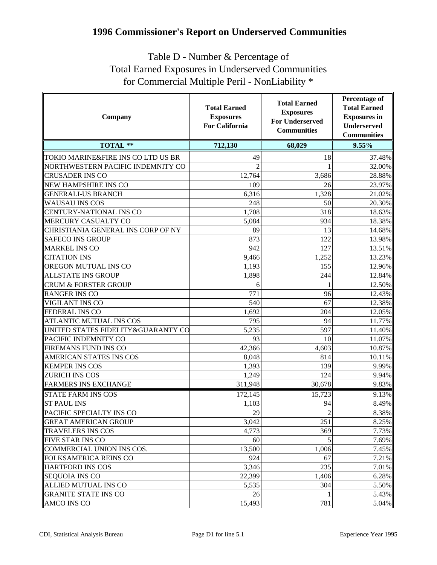## **1996 Commissioner's Report on Underserved Communities**

## Table D - Number & Percentage of Total Earned Exposures in Underserved Communities for Commercial Multiple Peril - NonLiability \*

| Company                            | <b>Total Earned</b><br><b>Exposures</b><br><b>For California</b> | <b>Total Earned</b><br><b>Exposures</b><br><b>For Underserved</b><br><b>Communities</b> | <b>Percentage of</b><br><b>Total Earned</b><br><b>Exposures</b> in<br>Underserved<br><b>Communities</b> |
|------------------------------------|------------------------------------------------------------------|-----------------------------------------------------------------------------------------|---------------------------------------------------------------------------------------------------------|
| <b>TOTAL **</b>                    | 712,130                                                          | 68,029                                                                                  | 9.55%                                                                                                   |
| TOKIO MARINE&FIRE INS CO LTD US BR | 49                                                               | 18                                                                                      | 37.48%                                                                                                  |
| NORTHWESTERN PACIFIC INDEMNITY CO  | $\overline{2}$                                                   |                                                                                         | 32.00%                                                                                                  |
| <b>CRUSADER INS CO</b>             | 12,764                                                           | 3,686                                                                                   | 28.88%                                                                                                  |
| <b>NEW HAMPSHIRE INS CO</b>        | 109                                                              | 26                                                                                      | 23.97%                                                                                                  |
| <b>GENERALI-US BRANCH</b>          | 6,316                                                            | 1,328                                                                                   | 21.02%                                                                                                  |
| <b>WAUSAU INS COS</b>              | 248                                                              | 50                                                                                      | 20.30%                                                                                                  |
| <b>CENTURY-NATIONAL INS CO</b>     | 1,708                                                            | 318                                                                                     | 18.63%                                                                                                  |
| MERCURY CASUALTY CO                | 5,084                                                            | 934                                                                                     | 18.38%                                                                                                  |
| CHRISTIANIA GENERAL INS CORP OF NY | 89                                                               | 13                                                                                      | 14.68%                                                                                                  |
| <b>SAFECO INS GROUP</b>            | 873                                                              | 122                                                                                     | 13.98%                                                                                                  |
| <b>MARKEL INS CO</b>               | 942                                                              | 127                                                                                     | 13.51%                                                                                                  |
| <b>CITATION INS</b>                | 9,466                                                            | 1,252                                                                                   | 13.23%                                                                                                  |
| OREGON MUTUAL INS CO               | 1,193                                                            | 155                                                                                     | 12.96%                                                                                                  |
| <b>ALLSTATE INS GROUP</b>          | 1,898                                                            | 244                                                                                     | 12.84%                                                                                                  |
| <b>CRUM &amp; FORSTER GROUP</b>    | 6                                                                |                                                                                         | 12.50%                                                                                                  |
| <b>RANGER INS CO</b>               | 771                                                              | 96                                                                                      | 12.43%                                                                                                  |
| VIGILANT INS CO                    | 540                                                              | 67                                                                                      | 12.38%                                                                                                  |
| FEDERAL INS CO                     | 1,692                                                            | 204                                                                                     | 12.05%                                                                                                  |
| ATLANTIC MUTUAL INS COS            | 795                                                              | 94                                                                                      | 11.77%                                                                                                  |
| UNITED STATES FIDELITY&GUARANTY CO | 5,235                                                            | 597                                                                                     | 11.40%                                                                                                  |
| PACIFIC INDEMNITY CO               | 93                                                               | 10                                                                                      | 11.07%                                                                                                  |
| FIREMANS FUND INS CO               | 42,366                                                           | 4,603                                                                                   | 10.87%                                                                                                  |
| AMERICAN STATES INS COS            | 8,048                                                            | 814                                                                                     | 10.11%                                                                                                  |
| <b>KEMPER INS COS</b>              | 1,393                                                            | 139                                                                                     | 9.99%                                                                                                   |
| <b>ZURICH INS COS</b>              | 1,249                                                            | 124                                                                                     | 9.94%                                                                                                   |
| <b>FARMERS INS EXCHANGE</b>        | 311,948                                                          | 30,678                                                                                  | 9.83%                                                                                                   |
| <b>STATE FARM INS COS</b>          | 172,145                                                          | 15,723                                                                                  | 9.13%                                                                                                   |
| <b>ST PAUL INS</b>                 | 1,103                                                            | 94                                                                                      | 8.49%                                                                                                   |
| <b>PACIFIC SPECIALTY INS CO</b>    | 29                                                               | $\overline{2}$                                                                          | $8.38\%$                                                                                                |
| <b>GREAT AMERICAN GROUP</b>        | 3,042                                                            | 251                                                                                     | 8.25%                                                                                                   |
| <b>TRAVELERS INS COS</b>           | 4,773                                                            | 369                                                                                     | 7.73%                                                                                                   |
| <b>FIVE STAR INS CO</b>            | 60                                                               | 5                                                                                       | 7.69%                                                                                                   |
| COMMERCIAL UNION INS COS.          | 13,500                                                           | 1,006                                                                                   | 7.45%                                                                                                   |
| FOLKSAMERICA REINS CO              | 924                                                              | 67                                                                                      | 7.21%                                                                                                   |
| HARTFORD INS COS                   | 3,346                                                            | 235                                                                                     | 7.01%                                                                                                   |
| <b>SEQUOIA INS CO</b>              | 22,399                                                           | 1,406                                                                                   | 6.28%                                                                                                   |
| <b>ALLIED MUTUAL INS CO</b>        | 5,535                                                            | 304                                                                                     | 5.50%                                                                                                   |
| <b>GRANITE STATE INS CO</b>        | 26                                                               |                                                                                         | 5.43%                                                                                                   |
| AMCO INS CO                        | 15,493                                                           | 781                                                                                     | 5.04%                                                                                                   |